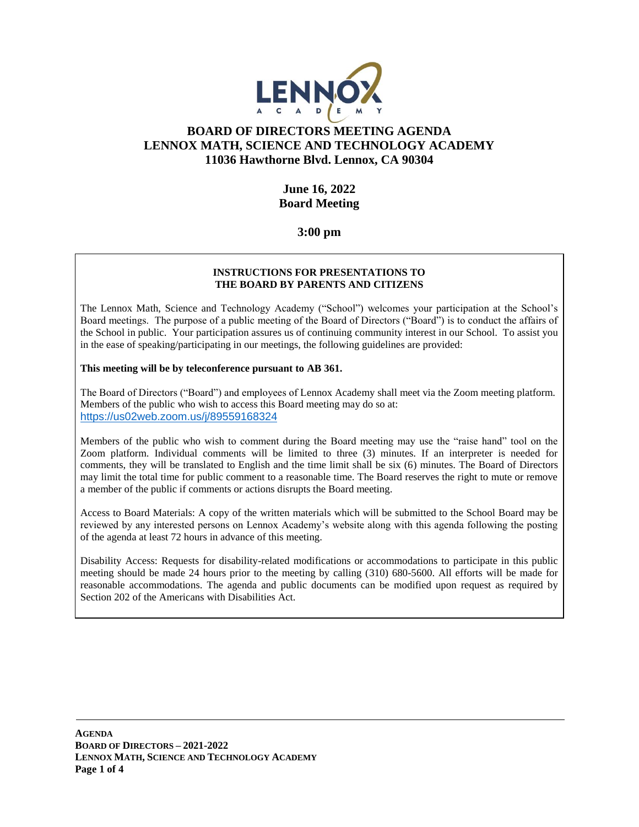

# **BOARD OF DIRECTORS MEETING AGENDA LENNOX MATH, SCIENCE AND TECHNOLOGY ACADEMY 11036 Hawthorne Blvd. Lennox, CA 90304**

#### **June 16, 2022 Board Meeting**

**3:00 pm**

#### **INSTRUCTIONS FOR PRESENTATIONS TO THE BOARD BY PARENTS AND CITIZENS**

The Lennox Math, Science and Technology Academy ("School") welcomes your participation at the School's Board meetings. The purpose of a public meeting of the Board of Directors ("Board") is to conduct the affairs of the School in public. Your participation assures us of continuing community interest in our School. To assist you in the ease of speaking/participating in our meetings, the following guidelines are provided:

#### **This meeting will be by teleconference pursuant to AB 361.**

The Board of Directors ("Board") and employees of Lennox Academy shall meet via the Zoom meeting platform. Members of the public who wish to access this Board meeting may do so at: <https://us02web.zoom.us/j/89559168324>

Members of the public who wish to comment during the Board meeting may use the "raise hand" tool on the Zoom platform. Individual comments will be limited to three (3) minutes. If an interpreter is needed for comments, they will be translated to English and the time limit shall be six (6) minutes. The Board of Directors may limit the total time for public comment to a reasonable time. The Board reserves the right to mute or remove a member of the public if comments or actions disrupts the Board meeting.

Access to Board Materials: A copy of the written materials which will be submitted to the School Board may be reviewed by any interested persons on Lennox Academy's website along with this agenda following the posting of the agenda at least 72 hours in advance of this meeting.

Disability Access: Requests for disability-related modifications or accommodations to participate in this public meeting should be made 24 hours prior to the meeting by calling (310) 680-5600. All efforts will be made for reasonable accommodations. The agenda and public documents can be modified upon request as required by Section 202 of the Americans with Disabilities Act.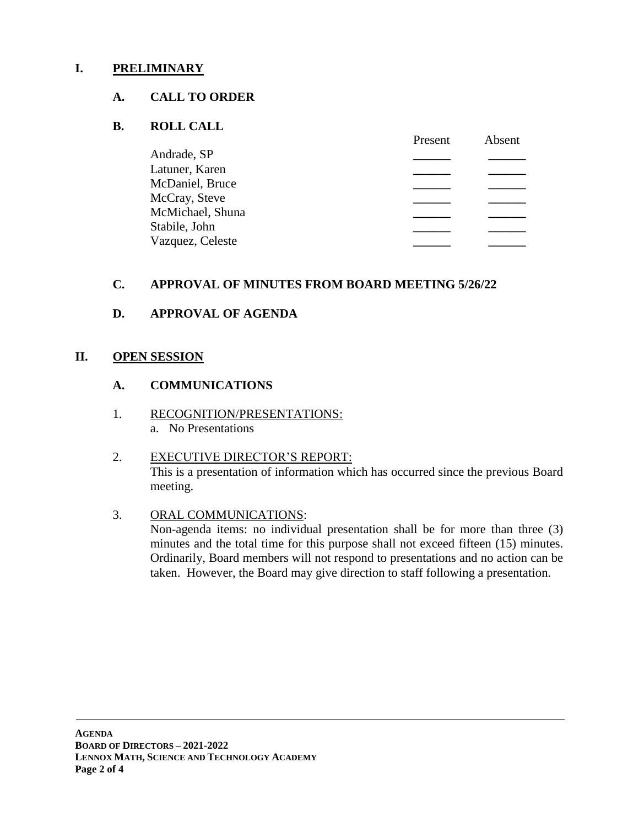# **I. PRELIMINARY**

#### **A. CALL TO ORDER**

#### **B. ROLL CALL**

|                  | Present | Absent |
|------------------|---------|--------|
| Andrade, SP      |         |        |
| Latuner, Karen   |         |        |
| McDaniel, Bruce  |         |        |
| McCray, Steve    |         |        |
| McMichael, Shuna |         |        |
| Stabile, John    |         |        |
| Vazquez, Celeste |         |        |
|                  |         |        |

# **C. APPROVAL OF MINUTES FROM BOARD MEETING 5/26/22**

# **D. APPROVAL OF AGENDA**

#### **II. OPEN SESSION**

#### **A. COMMUNICATIONS**

1. RECOGNITION/PRESENTATIONS: a. No Presentations

# 2. EXECUTIVE DIRECTOR'S REPORT: This is a presentation of information which has occurred since the previous Board meeting.

3. ORAL COMMUNICATIONS: Non-agenda items: no individual presentation shall be for more than three (3) minutes and the total time for this purpose shall not exceed fifteen (15) minutes. Ordinarily, Board members will not respond to presentations and no action can be taken. However, the Board may give direction to staff following a presentation.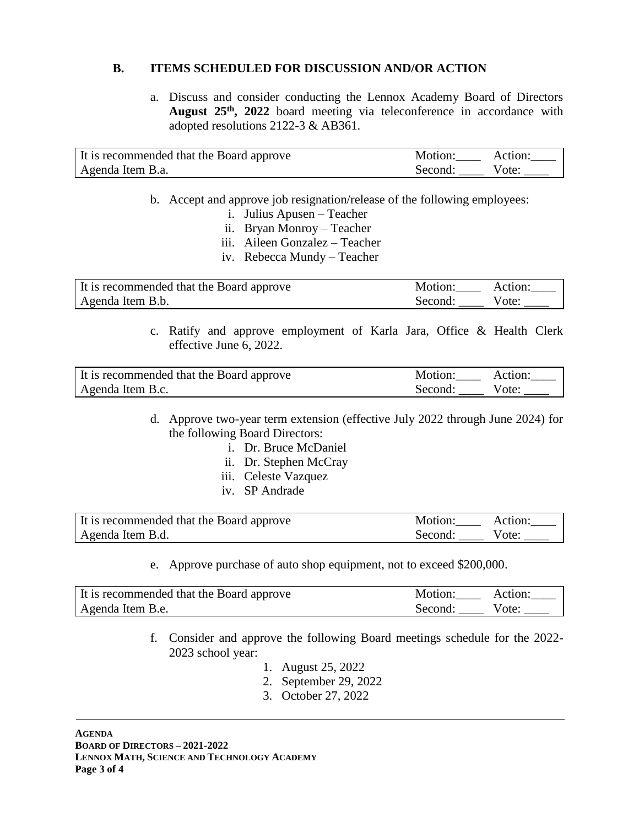# **B. ITEMS SCHEDULED FOR DISCUSSION AND/OR ACTION**

a. Discuss and consider conducting the Lennox Academy Board of Directors **August 25th, 2022** board meeting via teleconference in accordance with adopted resolutions 2122-3 & AB361.

| It is recommended that the Board approve | Motion: Action: |  |
|------------------------------------------|-----------------|--|
| Agenda Item B.a.                         | Second: Vote:   |  |

- b. Accept and approve job resignation/release of the following employees:
	- i. Julius Apusen Teacher
	- ii. Bryan Monroy Teacher
	- iii. Aileen Gonzalez Teacher
	- iv. Rebecca Mundy Teacher

| It is recommended that the Board approve | Motion: Action: |  |
|------------------------------------------|-----------------|--|
| Agenda Item B.b.                         | Second: Vote:   |  |

c. Ratify and approve employment of Karla Jara, Office & Health Clerk effective June 6, 2022.

| It is recommended that the Board approve | Motion: Action: |  |
|------------------------------------------|-----------------|--|
| Agenda Item B.c.                         | Second: Vote:   |  |

- d. Approve two-year term extension (effective July 2022 through June 2024) for the following Board Directors:
	- i. Dr. Bruce McDaniel
	- ii. Dr. Stephen McCray
	- iii. Celeste Vazquez
	- iv. SP Andrade

| It is recommended that the Board approve | Motion: Action: |       |
|------------------------------------------|-----------------|-------|
| Agenda Item B.d.                         | Second:         | Vote: |

e. Approve purchase of auto shop equipment, not to exceed \$200,000.

| It is recommended that the Board approve | Motion:       | Action: |
|------------------------------------------|---------------|---------|
| Agenda Item B.e.                         | Second: Vote: |         |

- f. Consider and approve the following Board meetings schedule for the 2022- 2023 school year:
	- 1. August 25, 2022
	- 2. September 29, 2022
	- 3. October 27, 2022